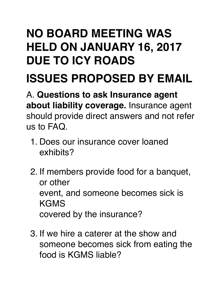## **NO BOARD MEETING WAS HELD ON JANUARY 16, 2017 DUE TO ICY ROADS**

## **ISSUES PROPOSED BY EMAIL**

A. **Questions to ask Insurance agent about liability coverage.** Insurance agent should provide direct answers and not refer us to FAQ.

- 1. Does our insurance cover loaned exhibits?
- 2. If members provide food for a banquet, or other event, and someone becomes sick is **KGMS** covered by the insurance?
- 3. If we hire a caterer at the show and someone becomes sick from eating the food is KGMS liable?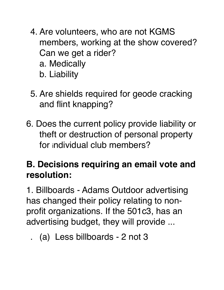- 4. Are volunteers, who are not KGMS members, working at the show covered? Can we get a rider? a. Medically b. Liability
- 5. Are shields required for geode cracking and flint knapping?
- 6. Does the current policy provide liability or theft or destruction of personal property for individual club members?

## **B. Decisions requiring an email vote and resolution:**

1. Billboards - Adams Outdoor advertising has changed their policy relating to nonprofit organizations. If the 501c3, has an advertising budget, they will provide ...

. (a) Less billboards - 2 not 3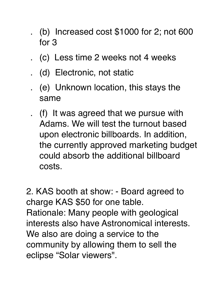- . (b) Increased cost \$1000 for 2; not 600 for 3
- . (c) Less time 2 weeks not 4 weeks
- . (d) Electronic, not static
- . (e) Unknown location, this stays the same
- . (f) It was agreed that we pursue with Adams. We will test the turnout based upon electronic billboards. In addition, the currently approved marketing budget could absorb the additional billboard costs.

2. KAS booth at show: - Board agreed to charge KAS \$50 for one table. Rationale: Many people with geological interests also have Astronomical interests. We also are doing a service to the community by allowing them to sell the eclipse "Solar viewers".